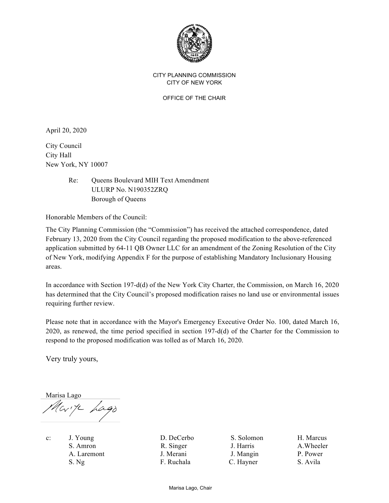

## CITY PLANNING COMMISSION CITY OF NEW YORK

OFFICE OF THE CHAIR

April 20, 2020

City Council City Hall New York, NY 10007

> Re: Queens Boulevard MIH Text Amendment ULURP No. N190352ZRQ Borough of Queens

Honorable Members of the Council:

The City Planning Commission (the "Commission") has received the attached correspondence, dated February 13, 2020 from the City Council regarding the proposed modification to the above-referenced application submitted by 64-11 QB Owner LLC for an amendment of the Zoning Resolution of the City of New York, modifying Appendix F for the purpose of establishing Mandatory Inclusionary Housing areas.

In accordance with Section 197-d(d) of the New York City Charter, the Commission, on March 16, 2020 has determined that the City Council's proposed modification raises no land use or environmental issues requiring further review.

Please note that in accordance with the Mayor's Emergency Executive Order No. 100, dated March 16, 2020, as renewed, the time period specified in section 197-d(d) of the Charter for the Commission to respond to the proposed modification was tolled as of March 16, 2020.

Very truly yours,

Marisa Lago Mark Lago

c: J. Young D. DeCerbo S. Solomon H. Marcus S. Amron R. Singer J. Harris A. Wheeler A. Laremont J. Merani J. Mangin P. Power S. Ng F. Ruchala C. Hayner S. Avila